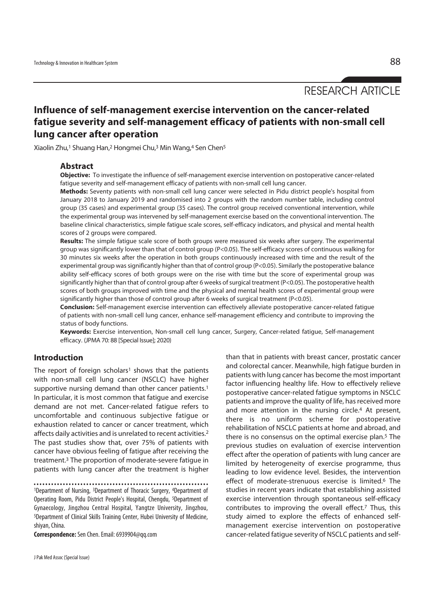RESEARCH ARTICLE

**Influence of self-management exercise intervention on the cancer-related fatigue severity and self-management efficacy of patients with non-small cell lung cancer after operation** 

Xiaolin Zhu,1 Shuang Han,2 Hongmei Chu,3 Min Wang,4 Sen Chen5

#### **Abstract**

**Objective:** To investigate the influence of self-management exercise intervention on postoperative cancer-related fatigue severity and self-management efficacy of patients with non-small cell lung cancer.

**Methods:** Seventy patients with non-small cell lung cancer were selected in Pidu district people's hospital from January 2018 to January 2019 and randomised into 2 groups with the random number table, including control group (35 cases) and experimental group (35 cases). The control group received conventional intervention, while the experimental group was intervened by self-management exercise based on the conventional intervention. The baseline clinical characteristics, simple fatigue scale scores, self-efficacy indicators, and physical and mental health scores of 2 groups were compared.

**Results:** The simple fatigue scale score of both groups were measured six weeks after surgery. The experimental group was significantly lower than that of control group (P<0.05). The self-efficacy scores of continuous walking for 30 minutes six weeks after the operation in both groups continuously increased with time and the result of the experimental group was significantly higher than that of control group (P<0.05). Similarly the postoperative balance ability self-efficacy scores of both groups were on the rise with time but the score of experimental group was significantly higher than that of control group after 6 weeks of surgical treatment (P<0.05). The postoperative health scores of both groups improved with time and the physical and mental health scores of experimental group were significantly higher than those of control group after 6 weeks of surgical treatment (P<0.05).

**Conclusion:** Self-management exercise intervention can effectively alleviate postoperative cancer-related fatigue of patients with non-small cell lung cancer, enhance self-management efficiency and contribute to improving the status of body functions.

**Keywords:** Exercise intervention, Non-small cell lung cancer, Surgery, Cancer-related fatigue, Self-management efficacy. (JPMA 70: 88 [Special Issue]; 2020)

## **Introduction**

The report of foreign scholars<sup>1</sup> shows that the patients with non-small cell lung cancer (NSCLC) have higher supportive nursing demand than other cancer patients.<sup>1</sup> In particular, it is most common that fatigue and exercise demand are not met. Cancer-related fatigue refers to uncomfortable and continuous subjective fatigue or exhaustion related to cancer or cancer treatment, which affects daily activities and is unrelated to recent activities.2 The past studies show that, over 75% of patients with cancer have obvious feeling of fatigue after receiving the treatment.3 The proportion of moderate-severe fatigue in patients with lung cancer after the treatment is higher

1Department of Nursing, 3Department of Thoracic Surgery, 4Department of Operating Room, Pidu District People's Hospital, Chengdu, 5Department of Gynaecology, Jingzhou Central Hospital, Yangtze University, Jingzhou, 5Department of Clinical Skills Training Center, Hubei University of Medicine, shiyan, China.

**Correspondence:** Sen Chen. Email: 6939904@qq.com

than that in patients with breast cancer, prostatic cancer and colorectal cancer. Meanwhile, high fatigue burden in patients with lung cancer has become the most important factor influencing healthy life. How to effectively relieve postoperative cancer-related fatigue symptoms in NSCLC patients and improve the quality of life, has received more and more attention in the nursing circle.<sup>4</sup> At present, there is no uniform scheme for postoperative rehabilitation of NSCLC patients at home and abroad, and there is no consensus on the optimal exercise plan.5 The previous studies on evaluation of exercise intervention effect after the operation of patients with lung cancer are limited by heterogeneity of exercise programme, thus leading to low evidence level. Besides, the intervention effect of moderate-strenuous exercise is limited.<sup>6</sup> The studies in recent years indicate that establishing assisted exercise intervention through spontaneous self-efficacy contributes to improving the overall effect.7 Thus, this study aimed to explore the effects of enhanced selfmanagement exercise intervention on postoperative cancer-related fatigue severity of NSCLC patients and self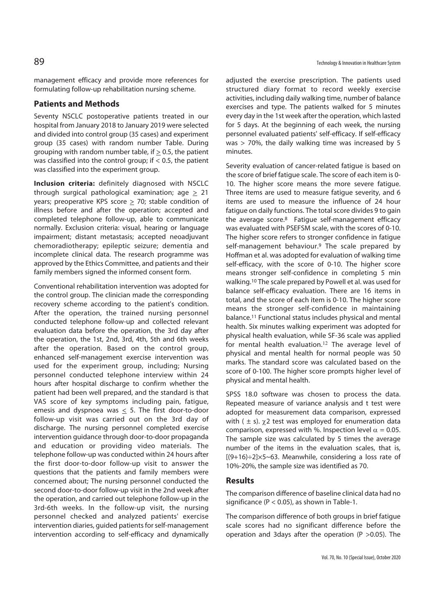management efficacy and provide more references for formulating follow-up rehabilitation nursing scheme.

# **Patients and Methods**

Seventy NSCLC postoperative patients treated in our hospital from January 2018 to January 2019 were selected and divided into control group (35 cases) and experiment group (35 cases) with random number Table. During grouping with random number table, if  $> 0.5$ , the patient was classified into the control group; if  $< 0.5$ , the patient was classified into the experiment group.

**Inclusion criteria:** definitely diagnosed with NSCLC through surgical pathological examination; age  $> 21$ years; preoperative KPS score  $\geq$  70; stable condition of illness before and after the operation; accepted and completed telephone follow-up, able to communicate normally. Exclusion criteria: visual, hearing or language impairment; distant metastasis; accepted neoadjuvant chemoradiotherapy; epileptic seizure; dementia and incomplete clinical data. The research programme was approved by the Ethics Committee, and patients and their family members signed the informed consent form.

Conventional rehabilitation intervention was adopted for the control group. The clinician made the corresponding recovery scheme according to the patient's condition. After the operation, the trained nursing personnel conducted telephone follow-up and collected relevant evaluation data before the operation, the 3rd day after the operation, the 1st, 2nd, 3rd, 4th, 5th and 6th weeks after the operation. Based on the control group, enhanced self-management exercise intervention was used for the experiment group, including; Nursing personnel conducted telephone interview within 24 hours after hospital discharge to confirm whether the patient had been well prepared, and the standard is that VAS score of key symptoms including pain, fatigue, emesis and dyspnoea was  $\leq$  5. The first door-to-door follow-up visit was carried out on the 3rd day of discharge. The nursing personnel completed exercise intervention guidance through door-to-door propaganda and education or providing video materials. The telephone follow-up was conducted within 24 hours after the first door-to-door follow-up visit to answer the questions that the patients and family members were concerned about; The nursing personnel conducted the second door-to-door follow-up visit in the 2nd week after the operation, and carried out telephone follow-up in the 3rd-6th weeks. In the follow-up visit, the nursing personnel checked and analyzed patients' exercise intervention diaries, guided patients for self-management intervention according to self-efficacy and dynamically

adjusted the exercise prescription. The patients used structured diary format to record weekly exercise activities, including daily walking time, number of balance exercises and type. The patients walked for 5 minutes every day in the 1st week after the operation, which lasted for 5 days. At the beginning of each week, the nursing personnel evaluated patients' self-efficacy. If self-efficacy was > 70%, the daily walking time was increased by 5 minutes.

Severity evaluation of cancer-related fatigue is based on the score of brief fatigue scale. The score of each item is 0- 10. The higher score means the more severe fatigue. Three items are used to measure fatigue severity, and 6 items are used to measure the influence of 24 hour fatigue on daily functions. The total score divides 9 to gain the average score.8 Fatigue self-management efficacy was evaluated with PSEFSM scale, with the scores of 0-10. The higher score refers to stronger confidence in fatigue self-management behaviour.<sup>9</sup> The scale prepared by Hoffman et al. was adopted for evaluation of walking time self-efficacy, with the score of 0-10. The higher score means stronger self-confidence in completing 5 min walking.10 The scale prepared by Powell et al. was used for balance self-efficacy evaluation. There are 16 items in total, and the score of each item is 0-10. The higher score means the stronger self-confidence in maintaining balance.11 Functional status includes physical and mental health. Six minutes walking experiment was adopted for physical health evaluation, while SF-36 scale was applied for mental health evaluation.<sup>12</sup> The average level of physical and mental health for normal people was 50 marks. The standard score was calculated based on the score of 0-100. The higher score prompts higher level of physical and mental health.

SPSS 18.0 software was chosen to process the data. Repeated measure of variance analysis and t test were adopted for measurement data comparison, expressed with ( $\pm$  s).  $\gamma$ 2 test was employed for enumeration data comparison, expressed with %. Inspection level  $\alpha = 0.05$ . The sample size was calculated by 5 times the average number of the items in the evaluation scales, that is,  $[(9+16) \div 2] \times 5 \times 63$ . Meanwhile, considering a loss rate of 10%-20%, the sample size was identified as 70.

# **Results**

The comparison difference of baseline clinical data had no significance ( $P < 0.05$ ), as shown in Table-1.

The comparison difference of both groups in brief fatigue scale scores had no significant difference before the operation and 3days after the operation (P >0.05). The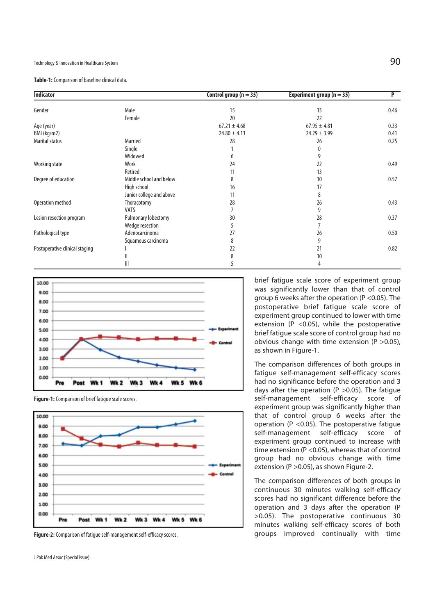### Technology & Innovation in Healthcare System  $90$

**Table-1:** Comparison of baseline clinical data.

| <b>Indicator</b>               |                          | Control group $(n = 35)$ | Experiment group ( $n = 35$ ) | P    |
|--------------------------------|--------------------------|--------------------------|-------------------------------|------|
| Gender                         | Male                     | 15                       | 13                            | 0.46 |
|                                | Female                   | 20                       | 22                            |      |
| Age (year)                     |                          | $67.21 \pm 4.68$         | $67.95 \pm 4.81$              | 0.33 |
| BMI (kg/m2)                    |                          | $24.80 \pm 4.13$         | $24.29 \pm 3.99$              | 0.41 |
| Marital status                 | Married                  | 28                       | 26                            | 0.25 |
|                                | Single                   |                          | 0                             |      |
|                                | Widowed                  | 6                        | 9                             |      |
| Working state                  | Work                     | 24                       | 22                            | 0.49 |
|                                | Retired                  | 11                       | 13                            |      |
| Degree of education            | Middle school and below  | 8                        | 10                            | 0.57 |
|                                | High school              | 16                       | 17                            |      |
|                                | Junior college and above | 11                       | 8                             |      |
| Operation method               | Thoracotomy              | 28                       | 26                            | 0.43 |
|                                | <b>VATS</b>              |                          | 9                             |      |
| Lesion resection program       | Pulmonary lobectomy      | 30                       | 28                            | 0.37 |
|                                | Wedge resection          | 5                        | 7                             |      |
| Pathological type              | Adenocarcinoma           | 27                       | 26                            | 0.50 |
|                                | Squamous carcinoma       | 8                        | 9                             |      |
| Postoperative clinical staging |                          | 22                       | 21                            | 0.82 |
|                                | Ш                        | 8                        | 10                            |      |
|                                | Ш                        | 5                        | 4                             |      |





**Figure-1:** Comparison of brief fatigue scale scores.

**Figure-2:** Comparison of fatigue self-management self-efficacy scores.

J Pak Med Assoc (Special Issue)

brief fatigue scale score of experiment group was significantly lower than that of control group 6 weeks after the operation (P <0.05). The postoperative brief fatigue scale score of experiment group continued to lower with time extension (P <0.05), while the postoperative brief fatigue scale score of control group had no obvious change with time extension ( $P > 0.05$ ), as shown in Figure-1.

The comparison differences of both groups in fatigue self-management self-efficacy scores had no significance before the operation and 3 days after the operation ( $P > 0.05$ ). The fatigue self-management self-efficacy score of experiment group was significantly higher than that of control group 6 weeks after the operation ( $P < 0.05$ ). The postoperative fatigue self-management self-efficacy score of experiment group continued to increase with time extension (P <0.05), whereas that of control group had no obvious change with time extension (P >0.05), as shown Figure-2.

The comparison differences of both groups in continuous 30 minutes walking self-efficacy scores had no significant difference before the operation and 3 days after the operation (P >0.05). The postoperative continuous 30 minutes walking self-efficacy scores of both groups improved continually with time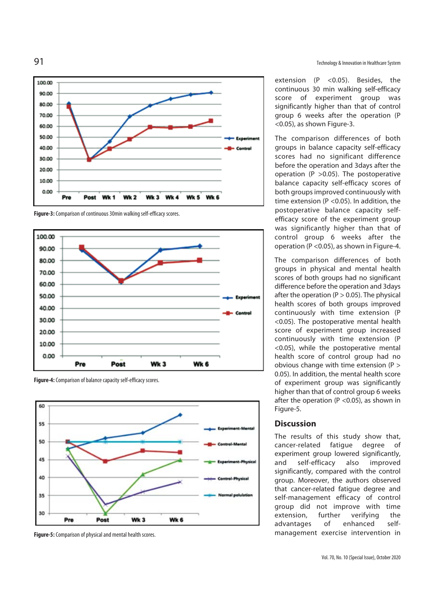

**Figure-3:** Comparison of continuous 30min walking self-efficacy scores.







**Figure-5:** Comparison of physical and mental health scores.

extension (P <0.05). Besides, the continuous 30 min walking self-efficacy score of experiment group was significantly higher than that of control group 6 weeks after the operation (P <0.05), as shown Figure-3.

The comparison differences of both groups in balance capacity self-efficacy scores had no significant difference before the operation and 3days after the operation (P >0.05). The postoperative balance capacity self-efficacy scores of both groups improved continuously with time extension (P <0.05). In addition, the postoperative balance capacity selfefficacy score of the experiment group was significantly higher than that of control group 6 weeks after the operation (P <0.05), as shown in Figure-4.

The comparison differences of both groups in physical and mental health scores of both groups had no significant difference before the operation and 3days after the operation ( $P > 0.05$ ). The physical health scores of both groups improved continuously with time extension (P <0.05). The postoperative mental health score of experiment group increased continuously with time extension (P <0.05), while the postoperative mental health score of control group had no obvious change with time extension (P > 0.05). In addition, the mental health score of experiment group was significantly higher than that of control group 6 weeks after the operation (P <0.05), as shown in Figure-5.

#### **Discussion**

The results of this study show that, cancer-related fatigue degree of experiment group lowered significantly, and self-efficacy also improved significantly, compared with the control group. Moreover, the authors observed that cancer-related fatigue degree and self-management efficacy of control group did not improve with time extension, further verifying the advantages of enhanced selfmanagement exercise intervention in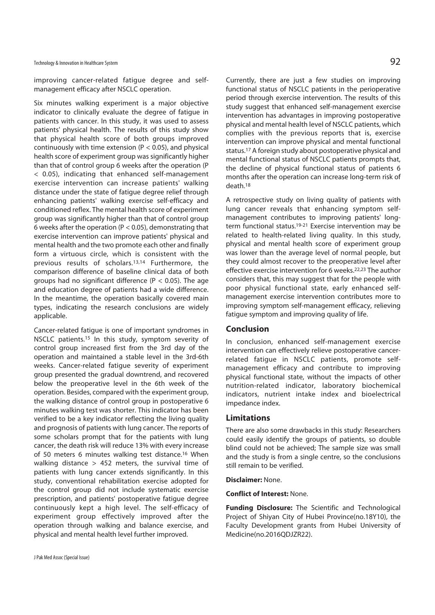Technology & Innovation in Healthcare System  $92$ 

improving cancer-related fatigue degree and selfmanagement efficacy after NSCLC operation.

Six minutes walking experiment is a major objective indicator to clinically evaluate the degree of fatigue in patients with cancer. In this study, it was used to assess patients' physical health. The results of this study show that physical health score of both groups improved continuously with time extension ( $P < 0.05$ ), and physical health score of experiment group was significantly higher than that of control group 6 weeks after the operation (P < 0.05), indicating that enhanced self-management exercise intervention can increase patients' walking distance under the state of fatigue degree relief through enhancing patients' walking exercise self-efficacy and conditioned reflex. The mental health score of experiment group was significantly higher than that of control group 6 weeks after the operation ( $P < 0.05$ ), demonstrating that exercise intervention can improve patients' physical and mental health and the two promote each other and finally form a virtuous circle, which is consistent with the previous results of scholars.13,14 Furthermore, the comparison difference of baseline clinical data of both groups had no significant difference ( $P < 0.05$ ). The age and education degree of patients had a wide difference. In the meantime, the operation basically covered main types, indicating the research conclusions are widely applicable.

Cancer-related fatigue is one of important syndromes in NSCLC patients.15 In this study, symptom severity of control group increased first from the 3rd day of the operation and maintained a stable level in the 3rd-6th weeks. Cancer-related fatique severity of experiment group presented the gradual downtrend, and recovered below the preoperative level in the 6th week of the operation. Besides, compared with the experiment group, the walking distance of control group in postoperative 6 minutes walking test was shorter. This indicator has been verified to be a key indicator reflecting the living quality and prognosis of patients with lung cancer. The reports of some scholars prompt that for the patients with lung cancer, the death risk will reduce 13% with every increase of 50 meters 6 minutes walking test distance.16 When walking distance  $> 452$  meters, the survival time of patients with lung cancer extends significantly. In this study, conventional rehabilitation exercise adopted for the control group did not include systematic exercise prescription, and patients' postoperative fatigue degree continuously kept a high level. The self-efficacy of experiment group effectively improved after the operation through walking and balance exercise, and physical and mental health level further improved.

Currently, there are just a few studies on improving functional status of NSCLC patients in the perioperative period through exercise intervention. The results of this study suggest that enhanced self-management exercise intervention has advantages in improving postoperative physical and mental health level of NSCLC patients, which complies with the previous reports that is, exercise intervention can improve physical and mental functional status.17 A foreign study about postoperative physical and mental functional status of NSCLC patients prompts that, the decline of physical functional status of patients 6 months after the operation can increase long-term risk of death.18

A retrospective study on living quality of patients with lung cancer reveals that enhancing symptom selfmanagement contributes to improving patients' longterm functional status.<sup>19-21</sup> Exercise intervention may be related to health-related living quality. In this study, physical and mental health score of experiment group was lower than the average level of normal people, but they could almost recover to the preoperative level after effective exercise intervention for 6 weeks.22,23 The author considers that, this may suggest that for the people with poor physical functional state, early enhanced selfmanagement exercise intervention contributes more to improving symptom self-management efficacy, relieving fatigue symptom and improving quality of life.

## **Conclusion**

In conclusion, enhanced self-management exercise intervention can effectively relieve postoperative cancerrelated fatigue in NSCLC patients, promote selfmanagement efficacy and contribute to improving physical functional state, without the impacts of other nutrition-related indicator, laboratory biochemical indicators, nutrient intake index and bioelectrical impedance index.

### **Limitations**

There are also some drawbacks in this study: Researchers could easily identify the groups of patients, so double blind could not be achieved; The sample size was small and the study is from a single centre, so the conclusions still remain to be verified.

#### **Disclaimer:** None.

**Conflict of Interest:** None.

**Funding Disclosure:** The Scientific and Technological Project of Shiyan City of Hubei Province(no.18Y10), the Faculty Development grants from Hubei University of Medicine(no.2016QDJZR22).